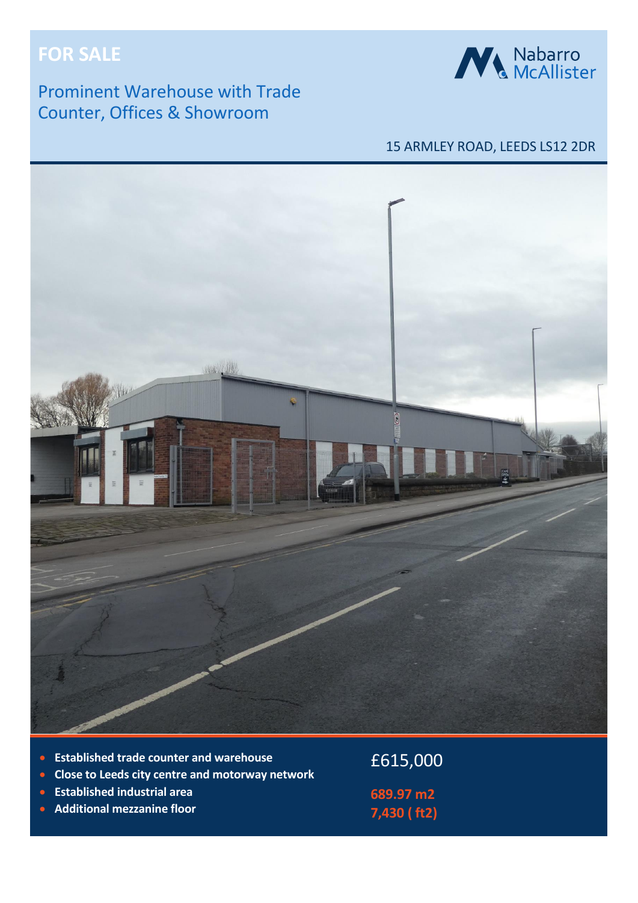# **FOR SALE**

## Prominent Warehouse with Trade Counter, Offices & Showroom



## 15 ARMLEY ROAD, LEEDS LS12 2DR



- **Established trade counter and warehouse**
- **Close to Leeds city centre and motorway network**
- **Established industrial area**
- **Additional mezzanine floor**

£615,000 **689.97 m2 7,430 ( ft2)**